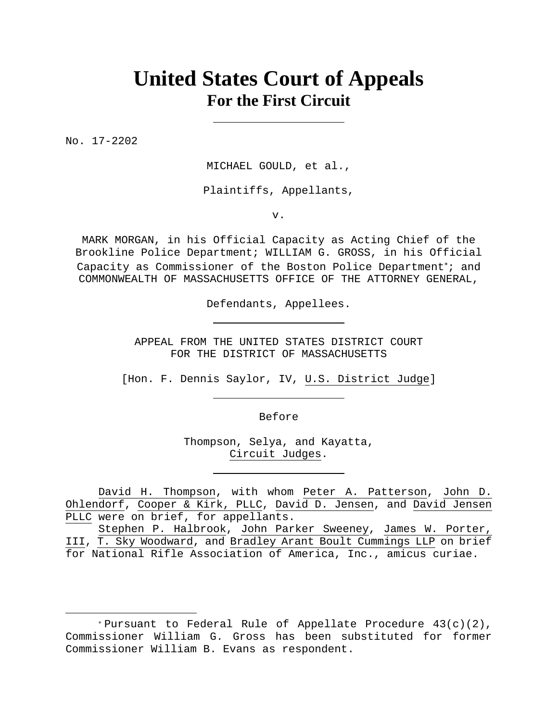# **United States Court of Appeals For the First Circuit**

No. 17-2202

 $\overline{a}$ 

MICHAEL GOULD, et al.,

Plaintiffs, Appellants,

v.

MARK MORGAN, in his Official Capacity as Acting Chief of the Brookline Police Department; WILLIAM G. GROSS, in his Official Capacity as Commissioner of the Boston Police Department\*; and COMMONWEALTH OF MASSACHUSETTS OFFICE OF THE ATTORNEY GENERAL,

Defendants, Appellees.

APPEAL FROM THE UNITED STATES DISTRICT COURT FOR THE DISTRICT OF MASSACHUSETTS

[Hon. F. Dennis Saylor, IV, U.S. District Judge]

Before

Thompson, Selya, and Kayatta, Circuit Judges.

David H. Thompson, with whom Peter A. Patterson, John D. Ohlendorf, Cooper & Kirk, PLLC, David D. Jensen, and David Jensen PLLC were on brief, for appellants.

Stephen P. Halbrook, John Parker Sweeney, James W. Porter, III, T. Sky Woodward, and Bradley Arant Boult Cummings LLP on brief for National Rifle Association of America, Inc., amicus curiae.

<sup>\*</sup>Pursuant to Federal Rule of Appellate Procedure  $43(c)(2)$ , Commissioner William G. Gross has been substituted for former Commissioner William B. Evans as respondent.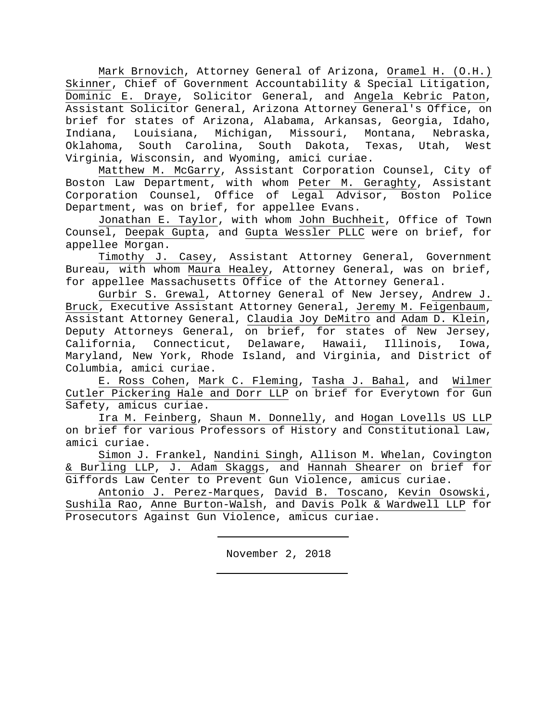Mark Brnovich, Attorney General of Arizona, Oramel H. (O.H.) Skinner, Chief of Government Accountability & Special Litigation, Dominic E. Draye, Solicitor General, and Angela Kebric Paton, Assistant Solicitor General, Arizona Attorney General's Office, on brief for states of Arizona, Alabama, Arkansas, Georgia, Idaho, Indiana, Louisiana, Michigan, Missouri, Montana, Nebraska, Oklahoma, South Carolina, South Dakota, Texas, Utah, West Virginia, Wisconsin, and Wyoming, amici curiae.

Matthew M. McGarry, Assistant Corporation Counsel, City of Boston Law Department, with whom Peter M. Geraghty, Assistant Corporation Counsel, Office of Legal Advisor, Boston Police Department, was on brief, for appellee Evans.

 Jonathan E. Taylor, with whom John Buchheit, Office of Town Counsel, Deepak Gupta, and Gupta Wessler PLLC were on brief, for appellee Morgan.

 Timothy J. Casey, Assistant Attorney General, Government Bureau, with whom Maura Healey, Attorney General, was on brief, for appellee Massachusetts Office of the Attorney General.

 Gurbir S. Grewal, Attorney General of New Jersey, Andrew J. Bruck, Executive Assistant Attorney General, Jeremy M. Feigenbaum, Assistant Attorney General, Claudia Joy DeMitro and Adam D. Klein, Deputy Attorneys General, on brief, for states of New Jersey, California, Connecticut, Delaware, Hawaii, Illinois, Iowa, Maryland, New York, Rhode Island, and Virginia, and District of Columbia, amici curiae.

 E. Ross Cohen, Mark C. Fleming, Tasha J. Bahal, and Wilmer Cutler Pickering Hale and Dorr LLP on brief for Everytown for Gun Safety, amicus curiae.

Ira M. Feinberg, Shaun M. Donnelly, and Hogan Lovells US LLP on brief for various Professors of History and Constitutional Law, amici curiae.

Simon J. Frankel, Nandini Singh, Allison M. Whelan, Covington & Burling LLP, J. Adam Skaggs, and Hannah Shearer on brief for Giffords Law Center to Prevent Gun Violence, amicus curiae.

Antonio J. Perez-Marques, David B. Toscano, Kevin Osowski, Sushila Rao, Anne Burton-Walsh, and Davis Polk & Wardwell LLP for Prosecutors Against Gun Violence, amicus curiae.

November 2, 2018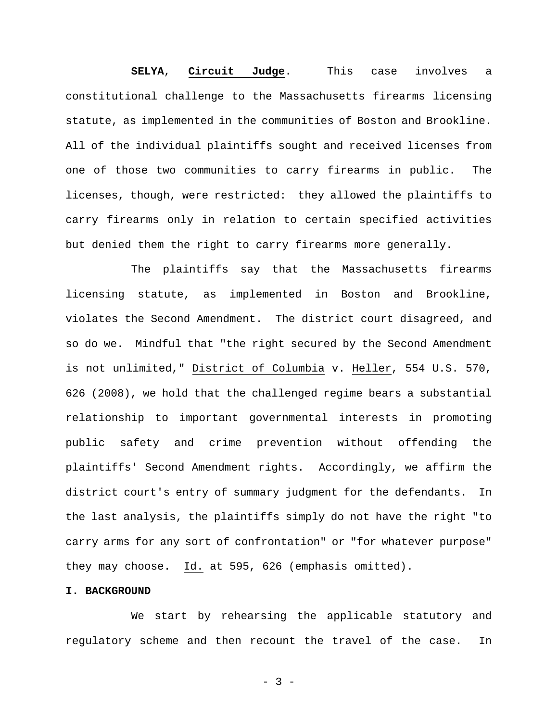**SELYA**, **Circuit Judge**. This case involves a constitutional challenge to the Massachusetts firearms licensing statute, as implemented in the communities of Boston and Brookline. All of the individual plaintiffs sought and received licenses from one of those two communities to carry firearms in public. The licenses, though, were restricted: they allowed the plaintiffs to carry firearms only in relation to certain specified activities but denied them the right to carry firearms more generally.

The plaintiffs say that the Massachusetts firearms licensing statute, as implemented in Boston and Brookline, violates the Second Amendment. The district court disagreed, and so do we. Mindful that "the right secured by the Second Amendment is not unlimited," District of Columbia v. Heller, 554 U.S. 570, 626 (2008), we hold that the challenged regime bears a substantial relationship to important governmental interests in promoting public safety and crime prevention without offending the plaintiffs' Second Amendment rights. Accordingly, we affirm the district court's entry of summary judgment for the defendants. In the last analysis, the plaintiffs simply do not have the right "to carry arms for any sort of confrontation" or "for whatever purpose" they may choose. Id. at 595, 626 (emphasis omitted).

# **I. BACKGROUND**

We start by rehearsing the applicable statutory and regulatory scheme and then recount the travel of the case. In

- 3 -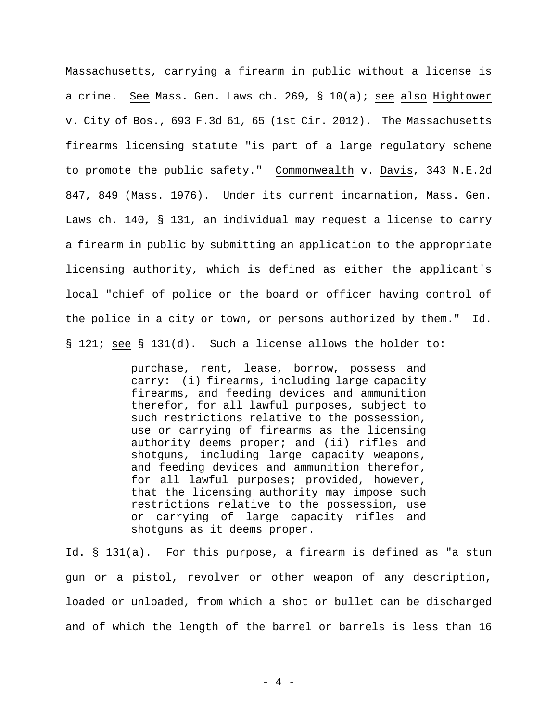Massachusetts, carrying a firearm in public without a license is a crime. See Mass. Gen. Laws ch. 269, § 10(a); see also Hightower v. City of Bos., 693 F.3d 61, 65 (1st Cir. 2012). The Massachusetts firearms licensing statute "is part of a large regulatory scheme to promote the public safety." Commonwealth v. Davis, 343 N.E.2d 847, 849 (Mass. 1976). Under its current incarnation, Mass. Gen. Laws ch. 140, § 131, an individual may request a license to carry a firearm in public by submitting an application to the appropriate licensing authority, which is defined as either the applicant's local "chief of police or the board or officer having control of the police in a city or town, or persons authorized by them." Id. § 121; see § 131(d). Such a license allows the holder to:

> purchase, rent, lease, borrow, possess and carry: (i) firearms, including large capacity firearms, and feeding devices and ammunition therefor, for all lawful purposes, subject to such restrictions relative to the possession, use or carrying of firearms as the licensing authority deems proper; and (ii) rifles and shotguns, including large capacity weapons, and feeding devices and ammunition therefor, for all lawful purposes; provided, however, that the licensing authority may impose such restrictions relative to the possession, use or carrying of large capacity rifles and shotguns as it deems proper.

Id. § 131(a). For this purpose, a firearm is defined as "a stun gun or a pistol, revolver or other weapon of any description, loaded or unloaded, from which a shot or bullet can be discharged and of which the length of the barrel or barrels is less than 16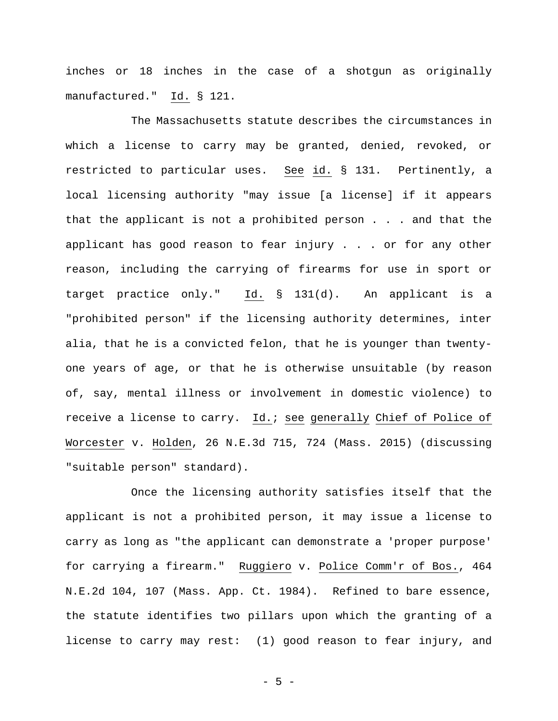inches or 18 inches in the case of a shotgun as originally manufactured." Id. § 121.

The Massachusetts statute describes the circumstances in which a license to carry may be granted, denied, revoked, or restricted to particular uses. See id. § 131. Pertinently, a local licensing authority "may issue [a license] if it appears that the applicant is not a prohibited person . . . and that the applicant has good reason to fear injury . . . or for any other reason, including the carrying of firearms for use in sport or target practice only." Id. § 131(d). An applicant is a "prohibited person" if the licensing authority determines, inter alia, that he is a convicted felon, that he is younger than twentyone years of age, or that he is otherwise unsuitable (by reason of, say, mental illness or involvement in domestic violence) to receive a license to carry. Id.; see generally Chief of Police of Worcester v. Holden, 26 N.E.3d 715, 724 (Mass. 2015) (discussing "suitable person" standard).

Once the licensing authority satisfies itself that the applicant is not a prohibited person, it may issue a license to carry as long as "the applicant can demonstrate a 'proper purpose' for carrying a firearm." Ruggiero v. Police Comm'r of Bos., 464 N.E.2d 104, 107 (Mass. App. Ct. 1984). Refined to bare essence, the statute identifies two pillars upon which the granting of a license to carry may rest: (1) good reason to fear injury, and

- 5 -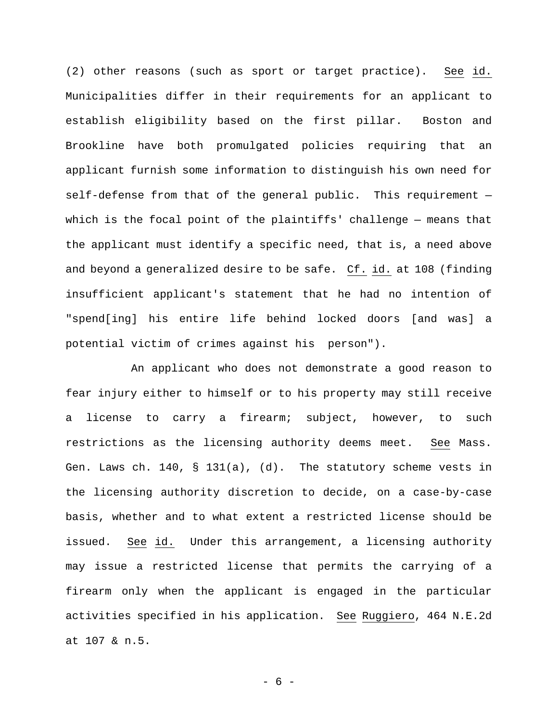(2) other reasons (such as sport or target practice). See id. Municipalities differ in their requirements for an applicant to establish eligibility based on the first pillar. Boston and Brookline have both promulgated policies requiring that an applicant furnish some information to distinguish his own need for self-defense from that of the general public. This requirement which is the focal point of the plaintiffs' challenge — means that the applicant must identify a specific need, that is, a need above and beyond a generalized desire to be safe. Cf. id. at 108 (finding insufficient applicant's statement that he had no intention of "spend[ing] his entire life behind locked doors [and was] a potential victim of crimes against his person").

An applicant who does not demonstrate a good reason to fear injury either to himself or to his property may still receive a license to carry a firearm; subject, however, to such restrictions as the licensing authority deems meet. See Mass. Gen. Laws ch. 140, § 131(a), (d). The statutory scheme vests in the licensing authority discretion to decide, on a case-by-case basis, whether and to what extent a restricted license should be issued. See id. Under this arrangement, a licensing authority may issue a restricted license that permits the carrying of a firearm only when the applicant is engaged in the particular activities specified in his application. See Ruggiero, 464 N.E.2d at 107 & n.5.

- 6 -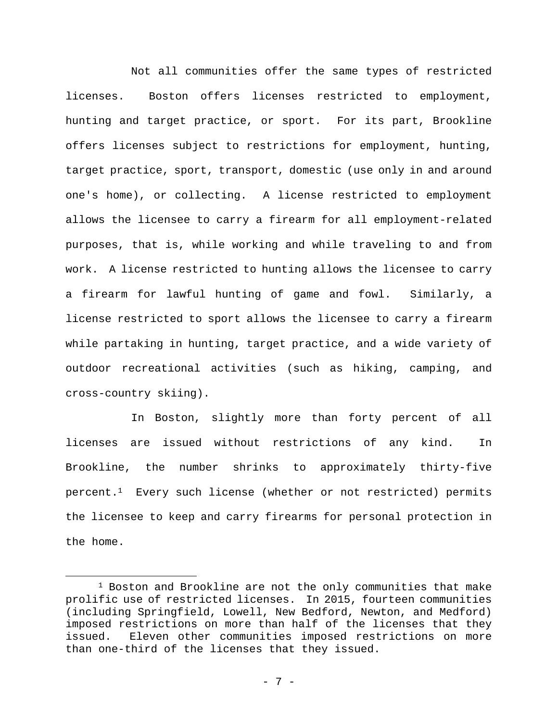Not all communities offer the same types of restricted licenses. Boston offers licenses restricted to employment, hunting and target practice, or sport. For its part, Brookline offers licenses subject to restrictions for employment, hunting, target practice, sport, transport, domestic (use only in and around one's home), or collecting. A license restricted to employment allows the licensee to carry a firearm for all employment-related purposes, that is, while working and while traveling to and from work. A license restricted to hunting allows the licensee to carry a firearm for lawful hunting of game and fowl. Similarly, a license restricted to sport allows the licensee to carry a firearm while partaking in hunting, target practice, and a wide variety of outdoor recreational activities (such as hiking, camping, and cross-country skiing).

In Boston, slightly more than forty percent of all licenses are issued without restrictions of any kind. In Brookline, the number shrinks to approximately thirty-five  $percent.^1$  Every such license (whether or not restricted) permits the licensee to keep and carry firearms for personal protection in the home.

 $\overline{a}$ 

<sup>1</sup> Boston and Brookline are not the only communities that make prolific use of restricted licenses. In 2015, fourteen communities (including Springfield, Lowell, New Bedford, Newton, and Medford) imposed restrictions on more than half of the licenses that they issued. Eleven other communities imposed restrictions on more than one-third of the licenses that they issued.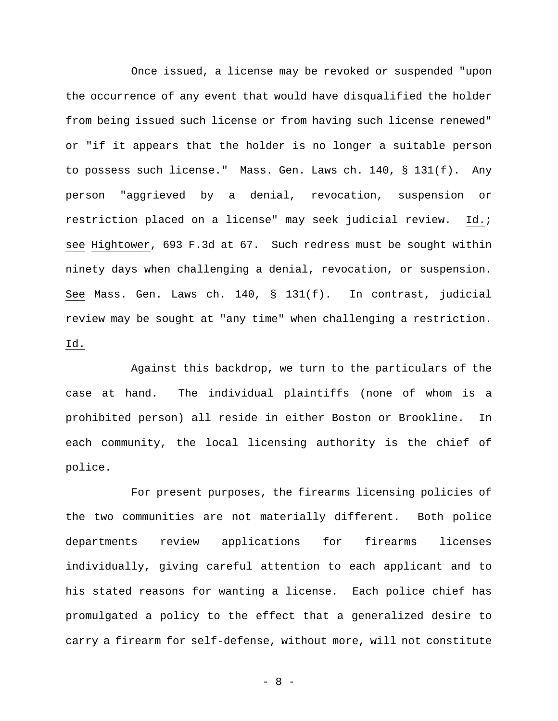Once issued, a license may be revoked or suspended "upon the occurrence of any event that would have disqualified the holder from being issued such license or from having such license renewed" or "if it appears that the holder is no longer a suitable person to possess such license." Mass. Gen. Laws ch. 140, § 131(f). Any person "aggrieved by a denial, revocation, suspension or restriction placed on a license" may seek judicial review. Id.; see Hightower, 693 F.3d at 67. Such redress must be sought within ninety days when challenging a denial, revocation, or suspension. See Mass. Gen. Laws ch. 140, § 131(f). In contrast, judicial review may be sought at "any time" when challenging a restriction. Id.

Against this backdrop, we turn to the particulars of the case at hand. The individual plaintiffs (none of whom is a prohibited person) all reside in either Boston or Brookline. In each community, the local licensing authority is the chief of police.

For present purposes, the firearms licensing policies of the two communities are not materially different. Both police departments review applications for firearms licenses individually, giving careful attention to each applicant and to his stated reasons for wanting a license. Each police chief has promulgated a policy to the effect that a generalized desire to carry a firearm for self-defense, without more, will not constitute

- 8 -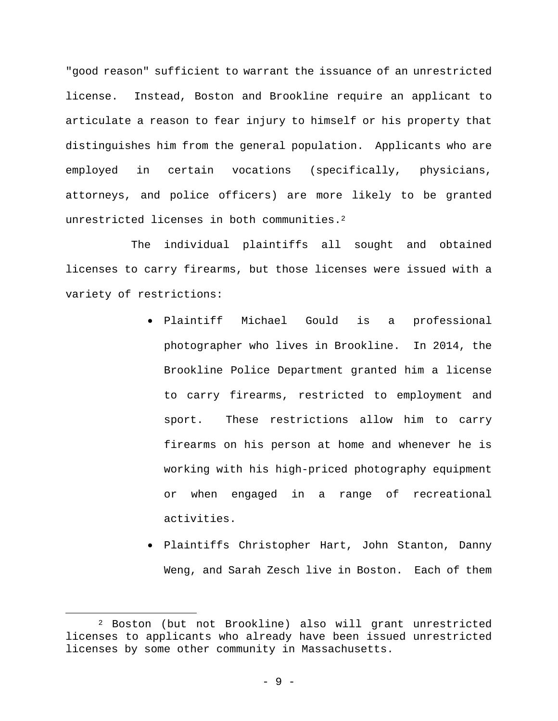"good reason" sufficient to warrant the issuance of an unrestricted license. Instead, Boston and Brookline require an applicant to articulate a reason to fear injury to himself or his property that distinguishes him from the general population. Applicants who are employed in certain vocations (specifically, physicians, attorneys, and police officers) are more likely to be granted unrestricted licenses in both communities.<sup>2</sup>

The individual plaintiffs all sought and obtained licenses to carry firearms, but those licenses were issued with a variety of restrictions:

- Plaintiff Michael Gould is a professional photographer who lives in Brookline. In 2014, the Brookline Police Department granted him a license to carry firearms, restricted to employment and sport. These restrictions allow him to carry firearms on his person at home and whenever he is working with his high-priced photography equipment or when engaged in a range of recreational activities.
- Plaintiffs Christopher Hart, John Stanton, Danny Weng, and Sarah Zesch live in Boston. Each of them

 $\overline{a}$ 

<sup>2</sup> Boston (but not Brookline) also will grant unrestricted licenses to applicants who already have been issued unrestricted licenses by some other community in Massachusetts.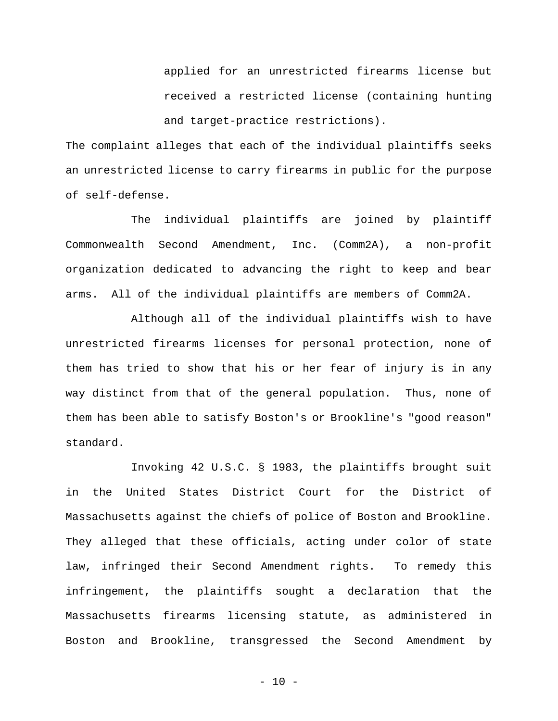applied for an unrestricted firearms license but received a restricted license (containing hunting and target-practice restrictions).

The complaint alleges that each of the individual plaintiffs seeks an unrestricted license to carry firearms in public for the purpose of self-defense.

The individual plaintiffs are joined by plaintiff Commonwealth Second Amendment, Inc. (Comm2A), a non-profit organization dedicated to advancing the right to keep and bear arms. All of the individual plaintiffs are members of Comm2A.

Although all of the individual plaintiffs wish to have unrestricted firearms licenses for personal protection, none of them has tried to show that his or her fear of injury is in any way distinct from that of the general population. Thus, none of them has been able to satisfy Boston's or Brookline's "good reason" standard.

Invoking 42 U.S.C. § 1983, the plaintiffs brought suit in the United States District Court for the District of Massachusetts against the chiefs of police of Boston and Brookline. They alleged that these officials, acting under color of state law, infringed their Second Amendment rights. To remedy this infringement, the plaintiffs sought a declaration that the Massachusetts firearms licensing statute, as administered in Boston and Brookline, transgressed the Second Amendment by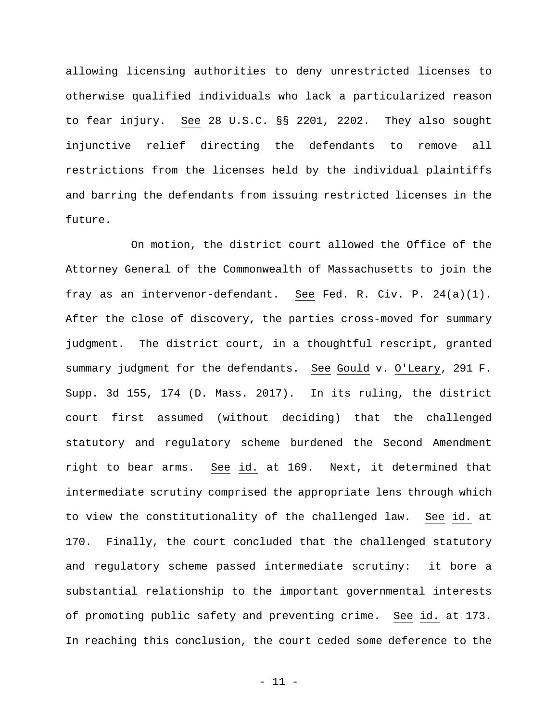allowing licensing authorities to deny unrestricted licenses to otherwise qualified individuals who lack a particularized reason to fear injury. See 28 U.S.C. §§ 2201, 2202. They also sought injunctive relief directing the defendants to remove all restrictions from the licenses held by the individual plaintiffs and barring the defendants from issuing restricted licenses in the future.

On motion, the district court allowed the Office of the Attorney General of the Commonwealth of Massachusetts to join the fray as an intervenor-defendant. See Fed. R. Civ. P. 24(a)(1). After the close of discovery, the parties cross-moved for summary judgment. The district court, in a thoughtful rescript, granted summary judgment for the defendants. See Gould v. O'Leary, 291 F. Supp. 3d 155, 174 (D. Mass. 2017). In its ruling, the district court first assumed (without deciding) that the challenged statutory and regulatory scheme burdened the Second Amendment right to bear arms. See id. at 169. Next, it determined that intermediate scrutiny comprised the appropriate lens through which to view the constitutionality of the challenged law. See id. at 170. Finally, the court concluded that the challenged statutory and regulatory scheme passed intermediate scrutiny: it bore a substantial relationship to the important governmental interests of promoting public safety and preventing crime. See id. at 173. In reaching this conclusion, the court ceded some deference to the

- 11 -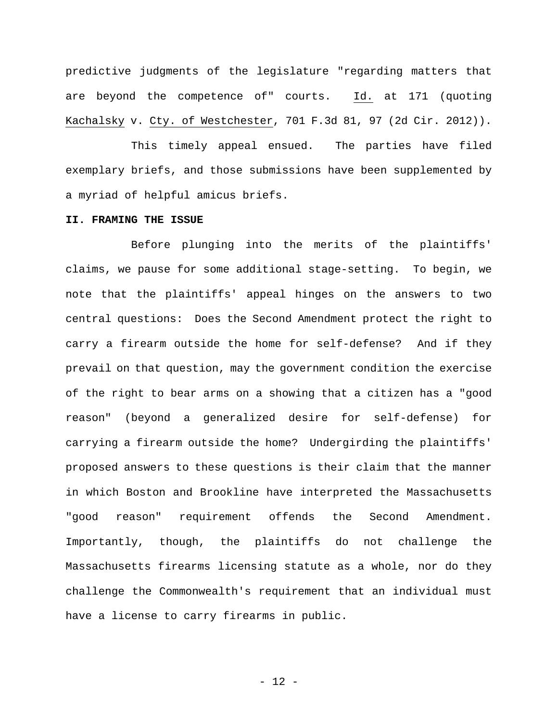predictive judgments of the legislature "regarding matters that are beyond the competence of" courts. Id. at 171 (quoting Kachalsky v. Cty. of Westchester, 701 F.3d 81, 97 (2d Cir. 2012)).

This timely appeal ensued. The parties have filed exemplary briefs, and those submissions have been supplemented by a myriad of helpful amicus briefs.

## **II. FRAMING THE ISSUE**

Before plunging into the merits of the plaintiffs' claims, we pause for some additional stage-setting. To begin, we note that the plaintiffs' appeal hinges on the answers to two central questions: Does the Second Amendment protect the right to carry a firearm outside the home for self-defense? And if they prevail on that question, may the government condition the exercise of the right to bear arms on a showing that a citizen has a "good reason" (beyond a generalized desire for self-defense) for carrying a firearm outside the home? Undergirding the plaintiffs' proposed answers to these questions is their claim that the manner in which Boston and Brookline have interpreted the Massachusetts "good reason" requirement offends the Second Amendment. Importantly, though, the plaintiffs do not challenge the Massachusetts firearms licensing statute as a whole, nor do they challenge the Commonwealth's requirement that an individual must have a license to carry firearms in public.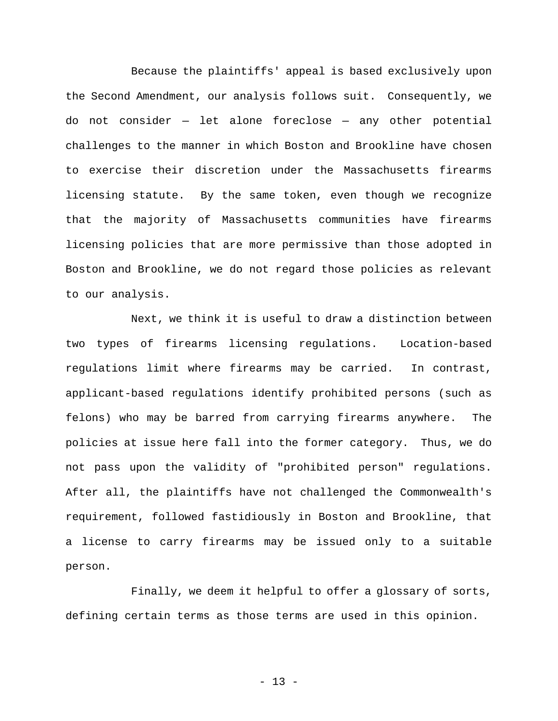Because the plaintiffs' appeal is based exclusively upon the Second Amendment, our analysis follows suit. Consequently, we do not consider — let alone foreclose — any other potential challenges to the manner in which Boston and Brookline have chosen to exercise their discretion under the Massachusetts firearms licensing statute. By the same token, even though we recognize that the majority of Massachusetts communities have firearms licensing policies that are more permissive than those adopted in Boston and Brookline, we do not regard those policies as relevant to our analysis.

Next, we think it is useful to draw a distinction between two types of firearms licensing regulations. Location-based regulations limit where firearms may be carried. In contrast, applicant-based regulations identify prohibited persons (such as felons) who may be barred from carrying firearms anywhere. The policies at issue here fall into the former category. Thus, we do not pass upon the validity of "prohibited person" regulations. After all, the plaintiffs have not challenged the Commonwealth's requirement, followed fastidiously in Boston and Brookline, that a license to carry firearms may be issued only to a suitable person.

Finally, we deem it helpful to offer a glossary of sorts, defining certain terms as those terms are used in this opinion.

- 13 -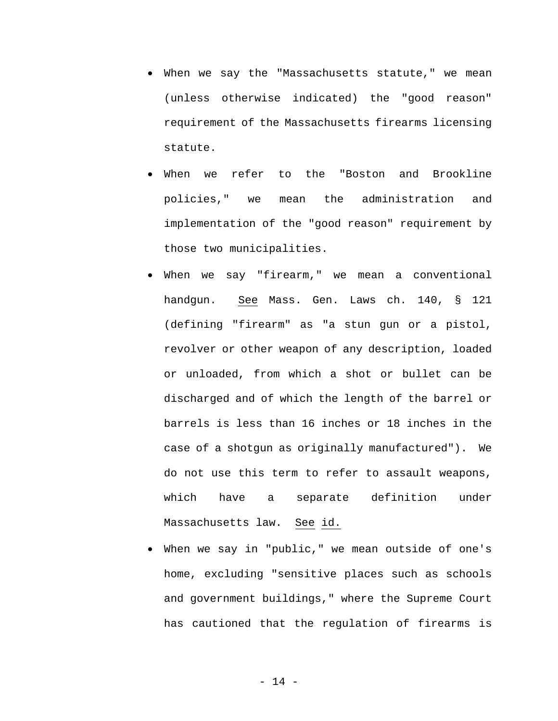- When we say the "Massachusetts statute," we mean (unless otherwise indicated) the "good reason" requirement of the Massachusetts firearms licensing statute.
- When we refer to the "Boston and Brookline policies," we mean the administration and implementation of the "good reason" requirement by those two municipalities.
- When we say "firearm," we mean a conventional handgun. See Mass. Gen. Laws ch. 140, § 121 (defining "firearm" as "a stun gun or a pistol, revolver or other weapon of any description, loaded or unloaded, from which a shot or bullet can be discharged and of which the length of the barrel or barrels is less than 16 inches or 18 inches in the case of a shotgun as originally manufactured"). We do not use this term to refer to assault weapons, which have a separate definition under Massachusetts law. See id.
- When we say in "public," we mean outside of one's home, excluding "sensitive places such as schools and government buildings," where the Supreme Court has cautioned that the regulation of firearms is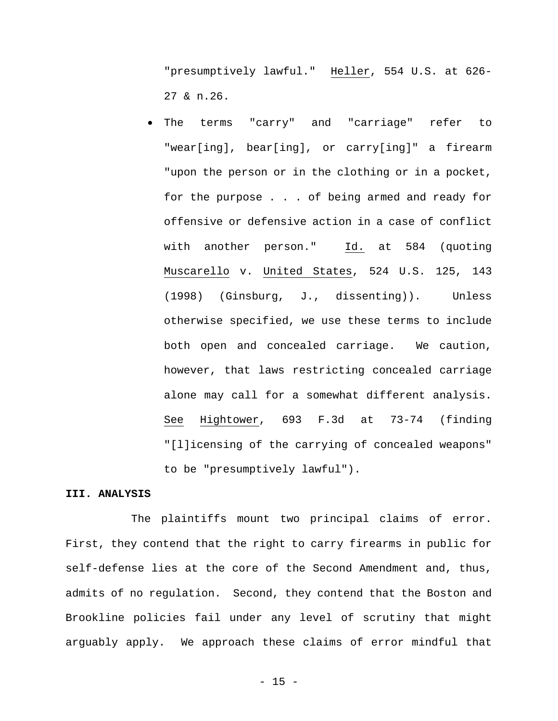"presumptively lawful." Heller, 554 U.S. at 626- 27 & n.26.

 The terms "carry" and "carriage" refer to "wear[ing], bear[ing], or carry[ing]" a firearm "upon the person or in the clothing or in a pocket, for the purpose . . . of being armed and ready for offensive or defensive action in a case of conflict with another person." Id. at 584 (quoting Muscarello v. United States, 524 U.S. 125, 143 (1998) (Ginsburg, J., dissenting)). Unless otherwise specified, we use these terms to include both open and concealed carriage. We caution, however, that laws restricting concealed carriage alone may call for a somewhat different analysis. See Hightower, 693 F.3d at 73-74 (finding "[l]icensing of the carrying of concealed weapons" to be "presumptively lawful").

### **III. ANALYSIS**

The plaintiffs mount two principal claims of error. First, they contend that the right to carry firearms in public for self-defense lies at the core of the Second Amendment and, thus, admits of no regulation. Second, they contend that the Boston and Brookline policies fail under any level of scrutiny that might arguably apply. We approach these claims of error mindful that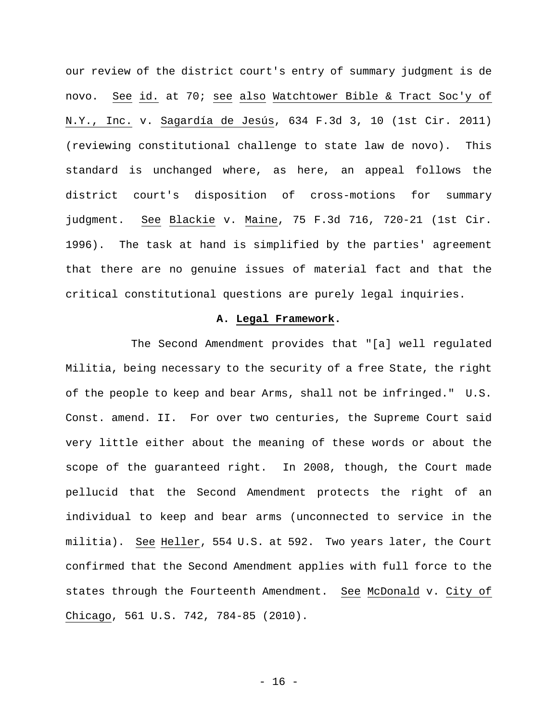our review of the district court's entry of summary judgment is de novo. See id. at 70; see also Watchtower Bible & Tract Soc'y of N.Y., Inc. v. Sagardía de Jesús, 634 F.3d 3, 10 (1st Cir. 2011) (reviewing constitutional challenge to state law de novo). This standard is unchanged where, as here, an appeal follows the district court's disposition of cross-motions for summary judgment. See Blackie v. Maine, 75 F.3d 716, 720-21 (1st Cir. 1996). The task at hand is simplified by the parties' agreement that there are no genuine issues of material fact and that the critical constitutional questions are purely legal inquiries.

### **A. Legal Framework.**

The Second Amendment provides that "[a] well regulated Militia, being necessary to the security of a free State, the right of the people to keep and bear Arms, shall not be infringed." U.S. Const. amend. II. For over two centuries, the Supreme Court said very little either about the meaning of these words or about the scope of the guaranteed right. In 2008, though, the Court made pellucid that the Second Amendment protects the right of an individual to keep and bear arms (unconnected to service in the militia). See Heller, 554 U.S. at 592. Two years later, the Court confirmed that the Second Amendment applies with full force to the states through the Fourteenth Amendment. See McDonald v. City of Chicago, 561 U.S. 742, 784-85 (2010).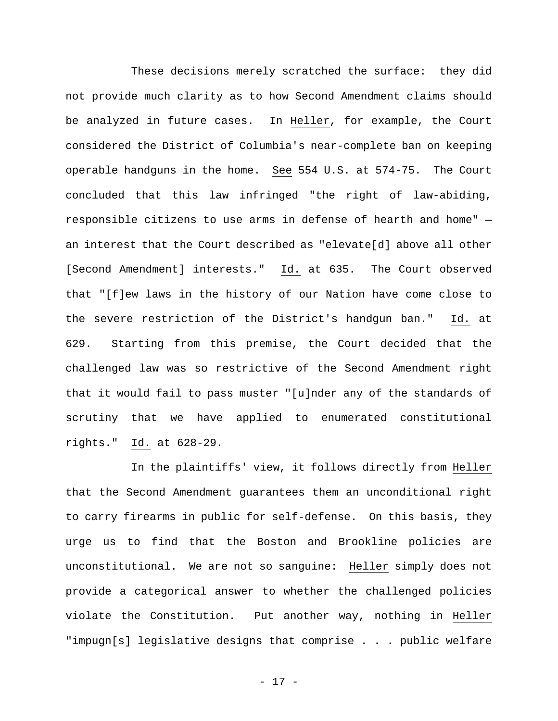These decisions merely scratched the surface: they did not provide much clarity as to how Second Amendment claims should be analyzed in future cases. In Heller, for example, the Court considered the District of Columbia's near-complete ban on keeping operable handguns in the home. See 554 U.S. at 574-75. The Court concluded that this law infringed "the right of law-abiding, responsible citizens to use arms in defense of hearth and home" an interest that the Court described as "elevate[d] above all other [Second Amendment] interests." Id. at 635. The Court observed that "[f]ew laws in the history of our Nation have come close to the severe restriction of the District's handgun ban." Id. at 629. Starting from this premise, the Court decided that the challenged law was so restrictive of the Second Amendment right that it would fail to pass muster "[u]nder any of the standards of scrutiny that we have applied to enumerated constitutional rights." Id. at 628-29.

In the plaintiffs' view, it follows directly from Heller that the Second Amendment guarantees them an unconditional right to carry firearms in public for self-defense. On this basis, they urge us to find that the Boston and Brookline policies are unconstitutional. We are not so sanguine: Heller simply does not provide a categorical answer to whether the challenged policies violate the Constitution. Put another way, nothing in Heller "impugn[s] legislative designs that comprise . . . public welfare

- 17 -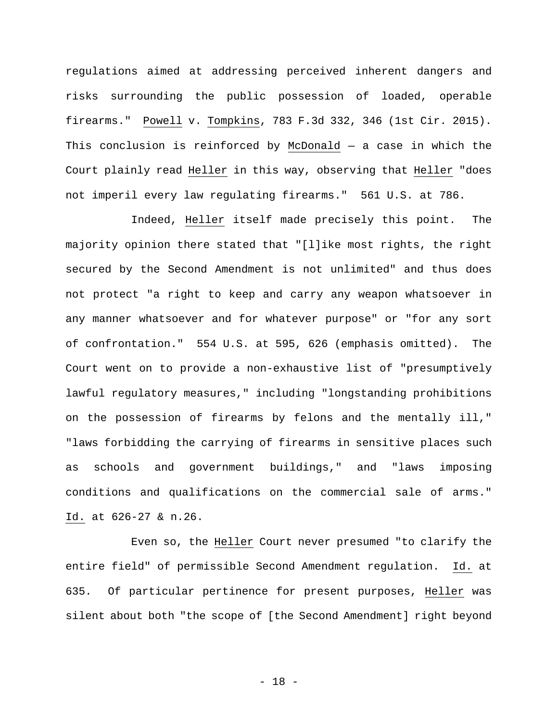regulations aimed at addressing perceived inherent dangers and risks surrounding the public possession of loaded, operable firearms." Powell v. Tompkins, 783 F.3d 332, 346 (1st Cir. 2015). This conclusion is reinforced by McDonald  $-$  a case in which the Court plainly read Heller in this way, observing that Heller "does not imperil every law regulating firearms." 561 U.S. at 786.

Indeed, Heller itself made precisely this point. The majority opinion there stated that "[l]ike most rights, the right secured by the Second Amendment is not unlimited" and thus does not protect "a right to keep and carry any weapon whatsoever in any manner whatsoever and for whatever purpose" or "for any sort of confrontation." 554 U.S. at 595, 626 (emphasis omitted). The Court went on to provide a non-exhaustive list of "presumptively lawful regulatory measures," including "longstanding prohibitions on the possession of firearms by felons and the mentally ill," "laws forbidding the carrying of firearms in sensitive places such as schools and government buildings," and "laws imposing conditions and qualifications on the commercial sale of arms." Id. at 626-27 & n.26.

Even so, the Heller Court never presumed "to clarify the entire field" of permissible Second Amendment regulation. Id. at 635. Of particular pertinence for present purposes, Heller was silent about both "the scope of [the Second Amendment] right beyond

- 18 -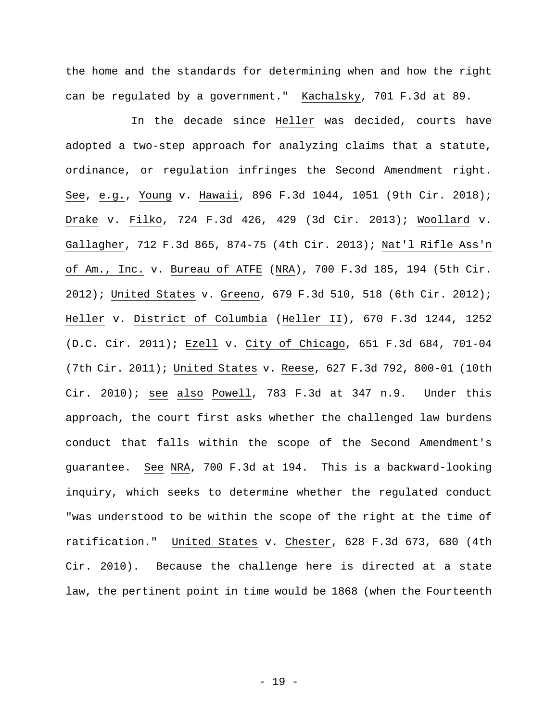the home and the standards for determining when and how the right can be regulated by a government." Kachalsky, 701 F.3d at 89.

In the decade since Heller was decided, courts have adopted a two-step approach for analyzing claims that a statute, ordinance, or regulation infringes the Second Amendment right. See, e.g., Young v. Hawaii, 896 F.3d 1044, 1051 (9th Cir. 2018); Drake v. Filko, 724 F.3d 426, 429 (3d Cir. 2013); Woollard v. Gallagher, 712 F.3d 865, 874-75 (4th Cir. 2013); Nat'l Rifle Ass'n of Am., Inc. v. Bureau of ATFE (NRA), 700 F.3d 185, 194 (5th Cir. 2012); United States v. Greeno, 679 F.3d 510, 518 (6th Cir. 2012); Heller v. District of Columbia (Heller II), 670 F.3d 1244, 1252 (D.C. Cir. 2011); Ezell v. City of Chicago, 651 F.3d 684, 701-04 (7th Cir. 2011); United States v. Reese, 627 F.3d 792, 800-01 (10th Cir. 2010); see also Powell, 783 F.3d at 347 n.9. Under this approach, the court first asks whether the challenged law burdens conduct that falls within the scope of the Second Amendment's guarantee. See NRA, 700 F.3d at 194. This is a backward-looking inquiry, which seeks to determine whether the regulated conduct "was understood to be within the scope of the right at the time of ratification." United States v. Chester, 628 F.3d 673, 680 (4th Cir. 2010). Because the challenge here is directed at a state law, the pertinent point in time would be 1868 (when the Fourteenth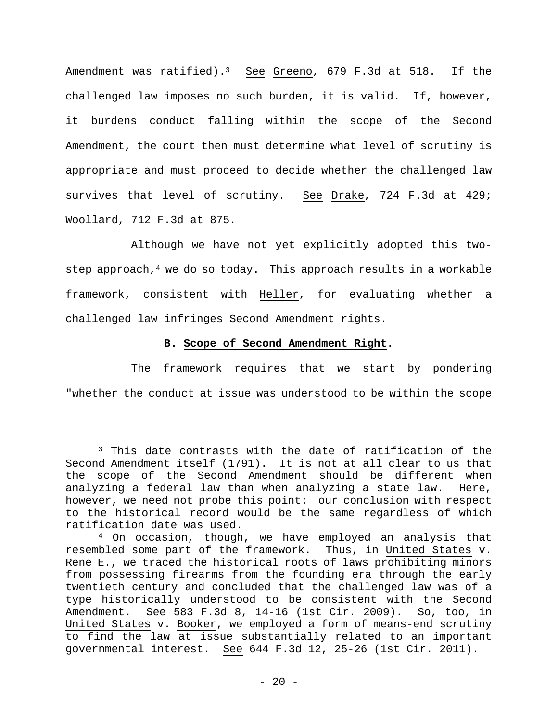Amendment was ratified).<sup>3</sup> See Greeno, 679 F.3d at 518. If the challenged law imposes no such burden, it is valid. If, however, it burdens conduct falling within the scope of the Second Amendment, the court then must determine what level of scrutiny is appropriate and must proceed to decide whether the challenged law survives that level of scrutiny. See Drake, 724 F.3d at 429; Woollard, 712 F.3d at 875.

Although we have not yet explicitly adopted this twostep approach,<sup>4</sup> we do so today. This approach results in a workable framework, consistent with Heller, for evaluating whether a challenged law infringes Second Amendment rights.

## **B. Scope of Second Amendment Right.**

The framework requires that we start by pondering "whether the conduct at issue was understood to be within the scope

 $\overline{a}$ 

<sup>3</sup> This date contrasts with the date of ratification of the Second Amendment itself (1791). It is not at all clear to us that the scope of the Second Amendment should be different when analyzing a federal law than when analyzing a state law. Here, however, we need not probe this point: our conclusion with respect to the historical record would be the same regardless of which ratification date was used.

<sup>4</sup> On occasion, though, we have employed an analysis that resembled some part of the framework. Thus, in United States v. Rene E., we traced the historical roots of laws prohibiting minors from possessing firearms from the founding era through the early twentieth century and concluded that the challenged law was of a type historically understood to be consistent with the Second Amendment. See 583 F.3d 8, 14-16 (1st Cir. 2009). So, too, in United States v. Booker, we employed a form of means-end scrutiny to find the law at issue substantially related to an important governmental interest. See 644 F.3d 12, 25-26 (1st Cir. 2011).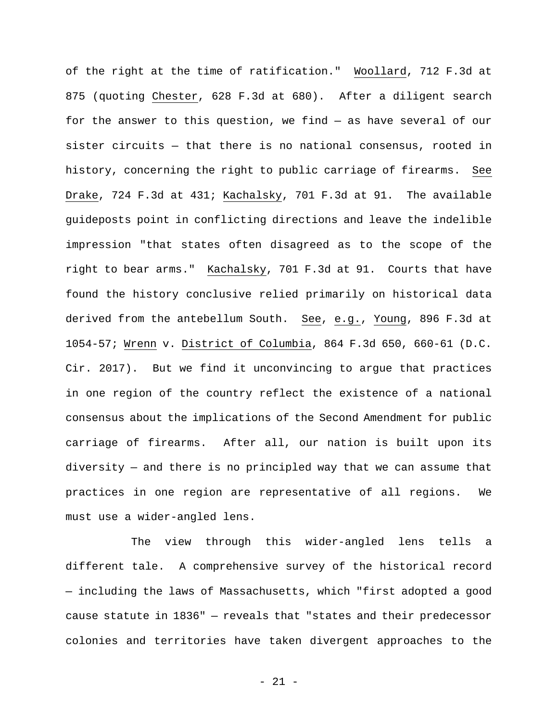of the right at the time of ratification." Woollard, 712 F.3d at 875 (quoting Chester, 628 F.3d at 680). After a diligent search for the answer to this question, we find — as have several of our sister circuits — that there is no national consensus, rooted in history, concerning the right to public carriage of firearms. See Drake, 724 F.3d at 431; Kachalsky, 701 F.3d at 91. The available guideposts point in conflicting directions and leave the indelible impression "that states often disagreed as to the scope of the right to bear arms." Kachalsky, 701 F.3d at 91. Courts that have found the history conclusive relied primarily on historical data derived from the antebellum South. See, e.g., Young, 896 F.3d at 1054-57; Wrenn v. District of Columbia, 864 F.3d 650, 660-61 (D.C. Cir. 2017). But we find it unconvincing to argue that practices in one region of the country reflect the existence of a national consensus about the implications of the Second Amendment for public carriage of firearms. After all, our nation is built upon its diversity — and there is no principled way that we can assume that practices in one region are representative of all regions. We must use a wider-angled lens.

The view through this wider-angled lens tells a different tale. A comprehensive survey of the historical record — including the laws of Massachusetts, which "first adopted a good cause statute in 1836" — reveals that "states and their predecessor colonies and territories have taken divergent approaches to the

- 21 -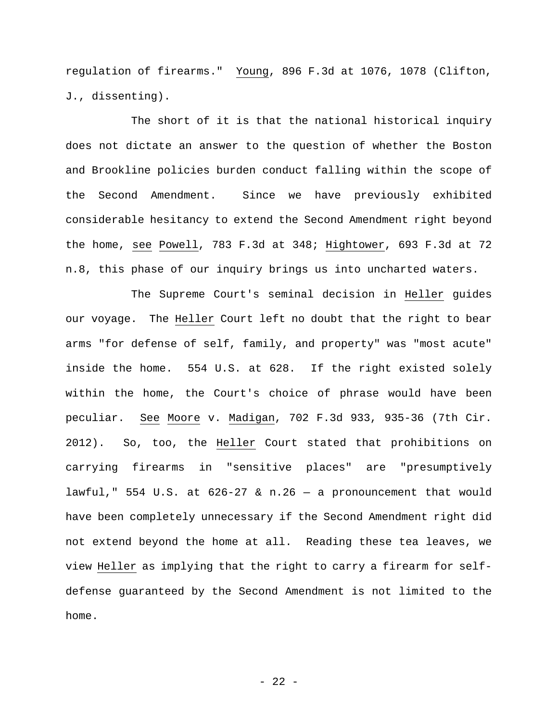regulation of firearms." Young, 896 F.3d at 1076, 1078 (Clifton, J., dissenting).

The short of it is that the national historical inquiry does not dictate an answer to the question of whether the Boston and Brookline policies burden conduct falling within the scope of the Second Amendment. Since we have previously exhibited considerable hesitancy to extend the Second Amendment right beyond the home, see Powell, 783 F.3d at 348; Hightower, 693 F.3d at 72 n.8, this phase of our inquiry brings us into uncharted waters.

The Supreme Court's seminal decision in Heller guides our voyage. The Heller Court left no doubt that the right to bear arms "for defense of self, family, and property" was "most acute" inside the home. 554 U.S. at 628. If the right existed solely within the home, the Court's choice of phrase would have been peculiar. See Moore v. Madigan, 702 F.3d 933, 935-36 (7th Cir. 2012). So, too, the Heller Court stated that prohibitions on carrying firearms in "sensitive places" are "presumptively lawful," 554 U.S. at  $626-27$  & n.26 - a pronouncement that would have been completely unnecessary if the Second Amendment right did not extend beyond the home at all. Reading these tea leaves, we view Heller as implying that the right to carry a firearm for selfdefense guaranteed by the Second Amendment is not limited to the home.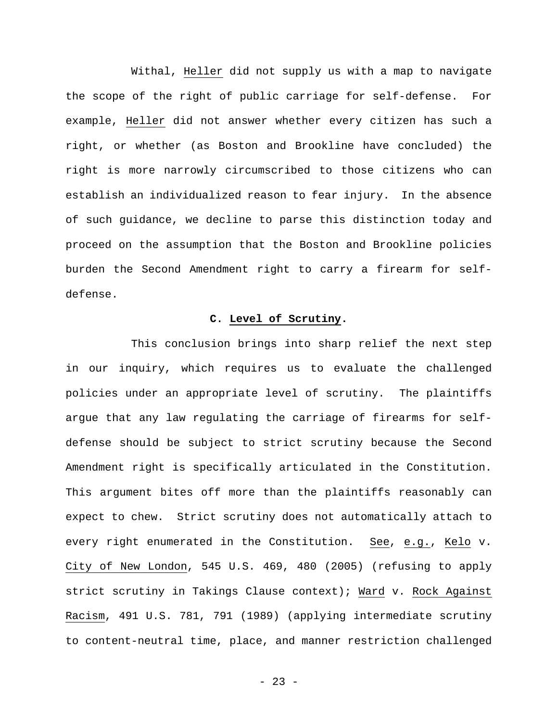Withal, Heller did not supply us with a map to navigate the scope of the right of public carriage for self-defense. For example, Heller did not answer whether every citizen has such a right, or whether (as Boston and Brookline have concluded) the right is more narrowly circumscribed to those citizens who can establish an individualized reason to fear injury. In the absence of such guidance, we decline to parse this distinction today and proceed on the assumption that the Boston and Brookline policies burden the Second Amendment right to carry a firearm for selfdefense.

## **C. Level of Scrutiny.**

This conclusion brings into sharp relief the next step in our inquiry, which requires us to evaluate the challenged policies under an appropriate level of scrutiny. The plaintiffs argue that any law regulating the carriage of firearms for selfdefense should be subject to strict scrutiny because the Second Amendment right is specifically articulated in the Constitution. This argument bites off more than the plaintiffs reasonably can expect to chew. Strict scrutiny does not automatically attach to every right enumerated in the Constitution. See, e.g., Kelo v. City of New London, 545 U.S. 469, 480 (2005) (refusing to apply strict scrutiny in Takings Clause context); Ward v. Rock Against Racism, 491 U.S. 781, 791 (1989) (applying intermediate scrutiny to content-neutral time, place, and manner restriction challenged

- 23 -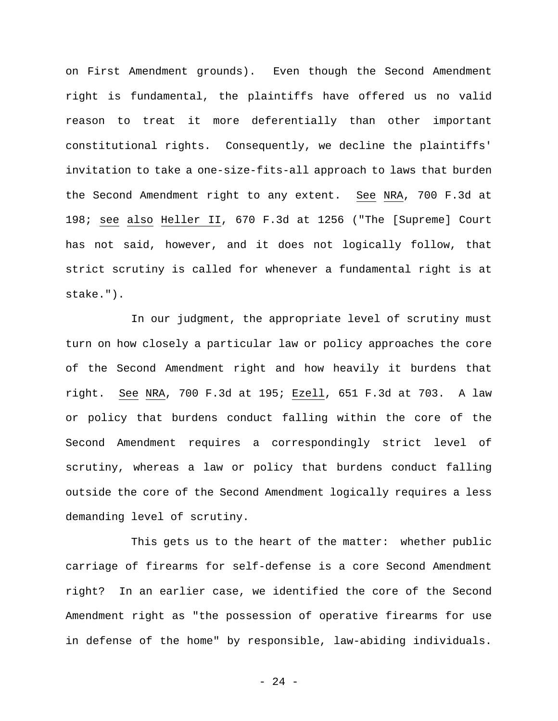on First Amendment grounds). Even though the Second Amendment right is fundamental, the plaintiffs have offered us no valid reason to treat it more deferentially than other important constitutional rights. Consequently, we decline the plaintiffs' invitation to take a one-size-fits-all approach to laws that burden the Second Amendment right to any extent. See NRA, 700 F.3d at 198; see also Heller II, 670 F.3d at 1256 ("The [Supreme] Court has not said, however, and it does not logically follow, that strict scrutiny is called for whenever a fundamental right is at stake.").

In our judgment, the appropriate level of scrutiny must turn on how closely a particular law or policy approaches the core of the Second Amendment right and how heavily it burdens that right. See NRA, 700 F.3d at 195; Ezell, 651 F.3d at 703. A law or policy that burdens conduct falling within the core of the Second Amendment requires a correspondingly strict level of scrutiny, whereas a law or policy that burdens conduct falling outside the core of the Second Amendment logically requires a less demanding level of scrutiny.

This gets us to the heart of the matter: whether public carriage of firearms for self-defense is a core Second Amendment right? In an earlier case, we identified the core of the Second Amendment right as "the possession of operative firearms for use in defense of the home" by responsible, law-abiding individuals.

- 24 -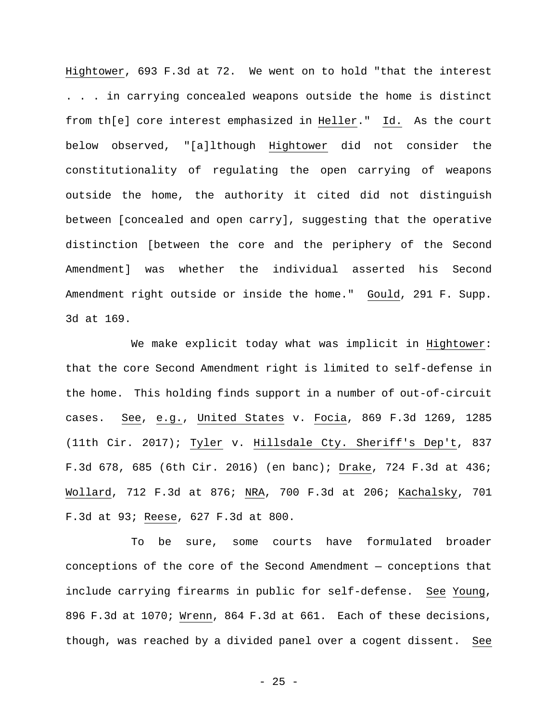Hightower, 693 F.3d at 72. We went on to hold "that the interest . . . in carrying concealed weapons outside the home is distinct from th[e] core interest emphasized in Heller." Id. As the court below observed, "[a]lthough Hightower did not consider the constitutionality of regulating the open carrying of weapons outside the home, the authority it cited did not distinguish between [concealed and open carry], suggesting that the operative distinction [between the core and the periphery of the Second Amendment] was whether the individual asserted his Second Amendment right outside or inside the home." Gould, 291 F. Supp. 3d at 169.

We make explicit today what was implicit in Hightower: that the core Second Amendment right is limited to self-defense in the home. This holding finds support in a number of out-of-circuit cases. See, e.g., United States v. Focia, 869 F.3d 1269, 1285 (11th Cir. 2017); Tyler v. Hillsdale Cty. Sheriff's Dep't, 837 F.3d 678, 685 (6th Cir. 2016) (en banc); Drake, 724 F.3d at 436; Wollard, 712 F.3d at 876; NRA, 700 F.3d at 206; Kachalsky, 701 F.3d at 93; Reese, 627 F.3d at 800.

To be sure, some courts have formulated broader conceptions of the core of the Second Amendment — conceptions that include carrying firearms in public for self-defense. See Young, 896 F.3d at 1070; Wrenn, 864 F.3d at 661. Each of these decisions, though, was reached by a divided panel over a cogent dissent. See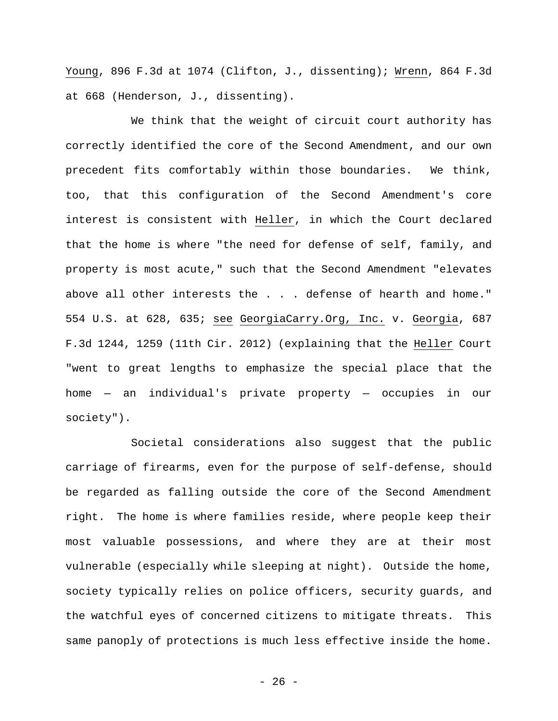Young, 896 F.3d at 1074 (Clifton, J., dissenting); Wrenn, 864 F.3d at 668 (Henderson, J., dissenting).

We think that the weight of circuit court authority has correctly identified the core of the Second Amendment, and our own precedent fits comfortably within those boundaries. We think, too, that this configuration of the Second Amendment's core interest is consistent with Heller, in which the Court declared that the home is where "the need for defense of self, family, and property is most acute," such that the Second Amendment "elevates above all other interests the . . . defense of hearth and home." 554 U.S. at 628, 635; see GeorgiaCarry.Org, Inc. v. Georgia, 687 F.3d 1244, 1259 (11th Cir. 2012) (explaining that the Heller Court "went to great lengths to emphasize the special place that the home — an individual's private property — occupies in our society").

Societal considerations also suggest that the public carriage of firearms, even for the purpose of self-defense, should be regarded as falling outside the core of the Second Amendment right. The home is where families reside, where people keep their most valuable possessions, and where they are at their most vulnerable (especially while sleeping at night). Outside the home, society typically relies on police officers, security guards, and the watchful eyes of concerned citizens to mitigate threats. This same panoply of protections is much less effective inside the home.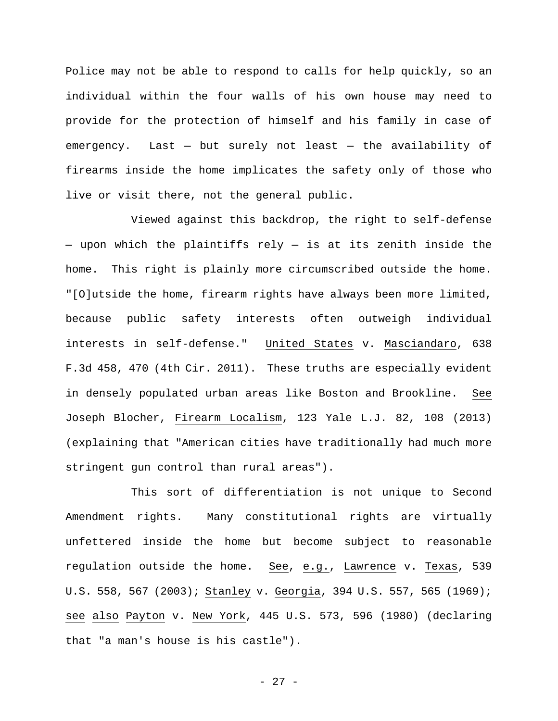Police may not be able to respond to calls for help quickly, so an individual within the four walls of his own house may need to provide for the protection of himself and his family in case of emergency. Last  $-$  but surely not least  $-$  the availability of firearms inside the home implicates the safety only of those who live or visit there, not the general public.

Viewed against this backdrop, the right to self-defense — upon which the plaintiffs rely — is at its zenith inside the home. This right is plainly more circumscribed outside the home. "[O]utside the home, firearm rights have always been more limited, because public safety interests often outweigh individual interests in self-defense." United States v. Masciandaro, 638 F.3d 458, 470 (4th Cir. 2011). These truths are especially evident in densely populated urban areas like Boston and Brookline. See Joseph Blocher, Firearm Localism, 123 Yale L.J. 82, 108 (2013) (explaining that "American cities have traditionally had much more stringent gun control than rural areas").

This sort of differentiation is not unique to Second Amendment rights. Many constitutional rights are virtually unfettered inside the home but become subject to reasonable regulation outside the home. See, e.g., Lawrence v. Texas, 539 U.S. 558, 567 (2003); Stanley v. Georgia, 394 U.S. 557, 565 (1969); see also Payton v. New York, 445 U.S. 573, 596 (1980) (declaring that "a man's house is his castle").

- 27 -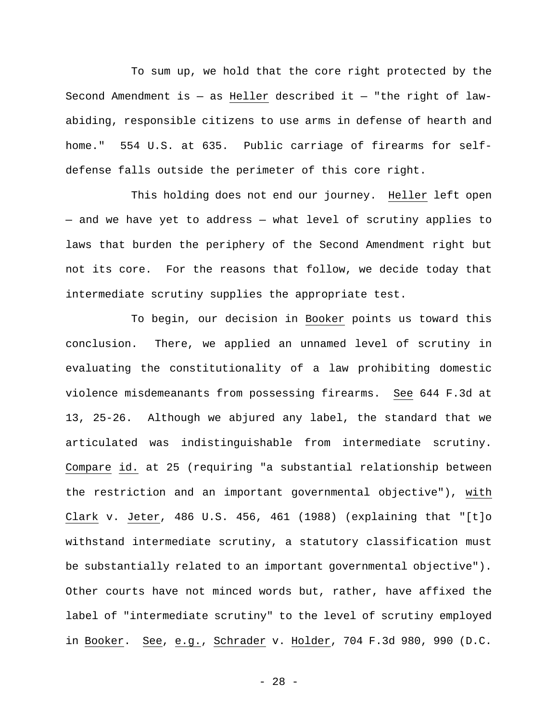To sum up, we hold that the core right protected by the Second Amendment is  $-$  as Heller described it  $-$  "the right of lawabiding, responsible citizens to use arms in defense of hearth and home." 554 U.S. at 635. Public carriage of firearms for selfdefense falls outside the perimeter of this core right.

This holding does not end our journey. Heller left open — and we have yet to address — what level of scrutiny applies to laws that burden the periphery of the Second Amendment right but not its core. For the reasons that follow, we decide today that intermediate scrutiny supplies the appropriate test.

To begin, our decision in Booker points us toward this conclusion. There, we applied an unnamed level of scrutiny in evaluating the constitutionality of a law prohibiting domestic violence misdemeanants from possessing firearms. See 644 F.3d at 13, 25-26. Although we abjured any label, the standard that we articulated was indistinguishable from intermediate scrutiny. Compare id. at 25 (requiring "a substantial relationship between the restriction and an important governmental objective"), with Clark v. Jeter, 486 U.S. 456, 461 (1988) (explaining that "[t]o withstand intermediate scrutiny, a statutory classification must be substantially related to an important governmental objective"). Other courts have not minced words but, rather, have affixed the label of "intermediate scrutiny" to the level of scrutiny employed in Booker. See, e.g., Schrader v. Holder, 704 F.3d 980, 990 (D.C.

- 28 -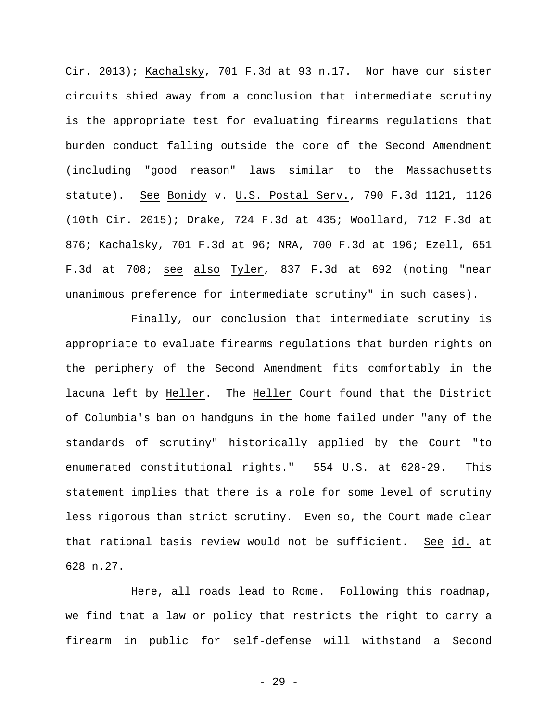Cir. 2013); Kachalsky, 701 F.3d at 93 n.17. Nor have our sister circuits shied away from a conclusion that intermediate scrutiny is the appropriate test for evaluating firearms regulations that burden conduct falling outside the core of the Second Amendment (including "good reason" laws similar to the Massachusetts statute). See Bonidy v. U.S. Postal Serv., 790 F.3d 1121, 1126 (10th Cir. 2015); Drake, 724 F.3d at 435; Woollard, 712 F.3d at 876; Kachalsky, 701 F.3d at 96; NRA, 700 F.3d at 196; Ezell, 651 F.3d at 708; see also Tyler, 837 F.3d at 692 (noting "near unanimous preference for intermediate scrutiny" in such cases).

Finally, our conclusion that intermediate scrutiny is appropriate to evaluate firearms regulations that burden rights on the periphery of the Second Amendment fits comfortably in the lacuna left by Heller. The Heller Court found that the District of Columbia's ban on handguns in the home failed under "any of the standards of scrutiny" historically applied by the Court "to enumerated constitutional rights." 554 U.S. at 628-29. This statement implies that there is a role for some level of scrutiny less rigorous than strict scrutiny. Even so, the Court made clear that rational basis review would not be sufficient. See id. at 628 n.27.

Here, all roads lead to Rome. Following this roadmap, we find that a law or policy that restricts the right to carry a firearm in public for self-defense will withstand a Second

- 29 -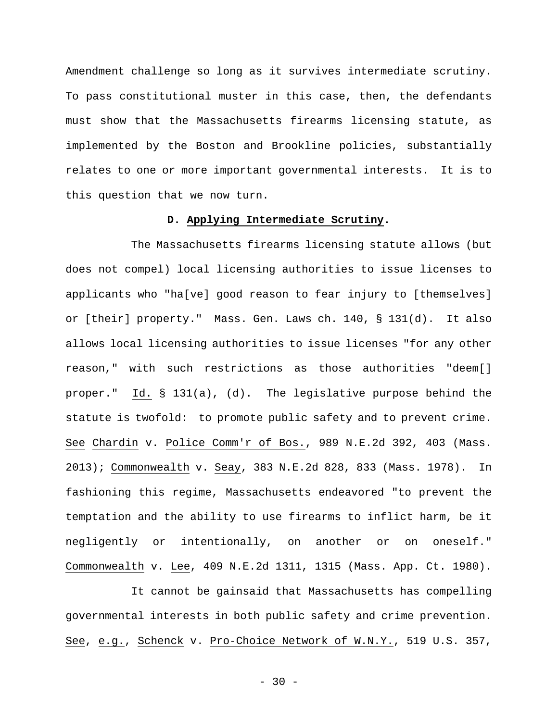Amendment challenge so long as it survives intermediate scrutiny. To pass constitutional muster in this case, then, the defendants must show that the Massachusetts firearms licensing statute, as implemented by the Boston and Brookline policies, substantially relates to one or more important governmental interests. It is to this question that we now turn.

## **D. Applying Intermediate Scrutiny.**

The Massachusetts firearms licensing statute allows (but does not compel) local licensing authorities to issue licenses to applicants who "ha[ve] good reason to fear injury to [themselves] or [their] property." Mass. Gen. Laws ch. 140, § 131(d). It also allows local licensing authorities to issue licenses "for any other reason," with such restrictions as those authorities "deem[] proper." Id. § 131(a), (d). The legislative purpose behind the statute is twofold: to promote public safety and to prevent crime. See Chardin v. Police Comm'r of Bos., 989 N.E.2d 392, 403 (Mass. 2013); Commonwealth v. Seay, 383 N.E.2d 828, 833 (Mass. 1978). In fashioning this regime, Massachusetts endeavored "to prevent the temptation and the ability to use firearms to inflict harm, be it negligently or intentionally, on another or on oneself." Commonwealth v. Lee, 409 N.E.2d 1311, 1315 (Mass. App. Ct. 1980).

It cannot be gainsaid that Massachusetts has compelling governmental interests in both public safety and crime prevention. See, e.g., Schenck v. Pro-Choice Network of W.N.Y., 519 U.S. 357,

 $-30 -$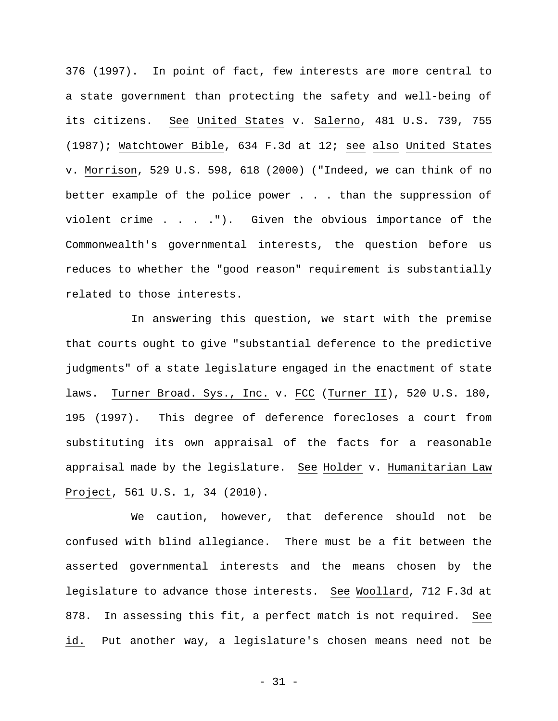376 (1997). In point of fact, few interests are more central to a state government than protecting the safety and well-being of its citizens. See United States v. Salerno, 481 U.S. 739, 755 (1987); Watchtower Bible, 634 F.3d at 12; see also United States v. Morrison, 529 U.S. 598, 618 (2000) ("Indeed, we can think of no better example of the police power . . . than the suppression of violent crime . . . ."). Given the obvious importance of the Commonwealth's governmental interests, the question before us reduces to whether the "good reason" requirement is substantially related to those interests.

In answering this question, we start with the premise that courts ought to give "substantial deference to the predictive judgments" of a state legislature engaged in the enactment of state laws. Turner Broad. Sys., Inc. v. FCC (Turner II), 520 U.S. 180, 195 (1997). This degree of deference forecloses a court from substituting its own appraisal of the facts for a reasonable appraisal made by the legislature. See Holder v. Humanitarian Law Project, 561 U.S. 1, 34 (2010).

We caution, however, that deference should not be confused with blind allegiance. There must be a fit between the asserted governmental interests and the means chosen by the legislature to advance those interests. See Woollard, 712 F.3d at 878. In assessing this fit, a perfect match is not required. See id. Put another way, a legislature's chosen means need not be

- 31 -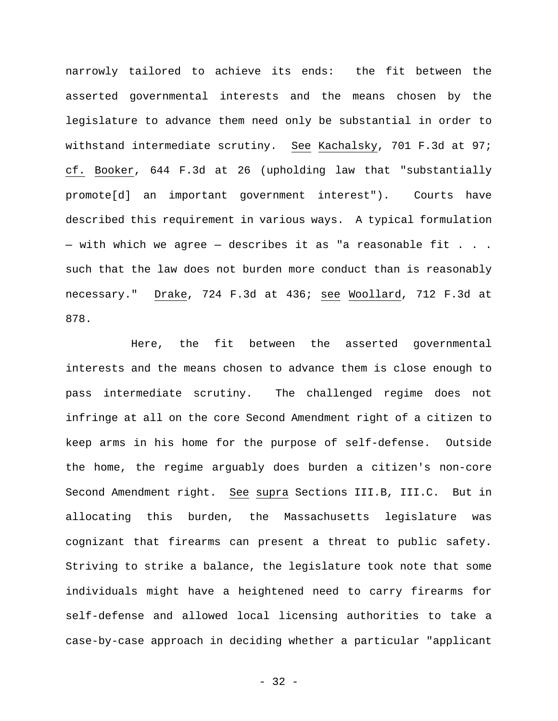narrowly tailored to achieve its ends: the fit between the asserted governmental interests and the means chosen by the legislature to advance them need only be substantial in order to withstand intermediate scrutiny. See Kachalsky, 701 F.3d at 97; cf. Booker, 644 F.3d at 26 (upholding law that "substantially promote[d] an important government interest"). Courts have described this requirement in various ways. A typical formulation  $-$  with which we agree  $-$  describes it as "a reasonable fit . . . such that the law does not burden more conduct than is reasonably necessary." Drake, 724 F.3d at 436; see Woollard, 712 F.3d at 878.

Here, the fit between the asserted governmental interests and the means chosen to advance them is close enough to pass intermediate scrutiny. The challenged regime does not infringe at all on the core Second Amendment right of a citizen to keep arms in his home for the purpose of self-defense. Outside the home, the regime arguably does burden a citizen's non-core Second Amendment right. See supra Sections III.B, III.C. But in allocating this burden, the Massachusetts legislature was cognizant that firearms can present a threat to public safety. Striving to strike a balance, the legislature took note that some individuals might have a heightened need to carry firearms for self-defense and allowed local licensing authorities to take a case-by-case approach in deciding whether a particular "applicant

- 32 -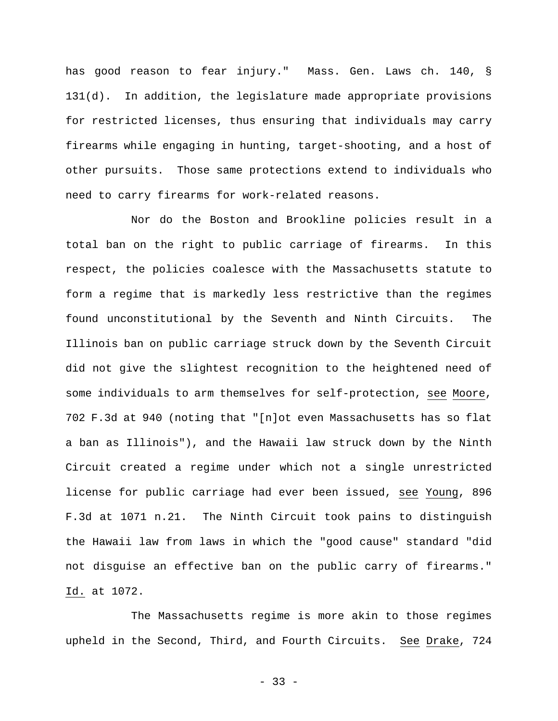has good reason to fear injury." Mass. Gen. Laws ch. 140, § 131(d). In addition, the legislature made appropriate provisions for restricted licenses, thus ensuring that individuals may carry firearms while engaging in hunting, target-shooting, and a host of other pursuits. Those same protections extend to individuals who need to carry firearms for work-related reasons.

Nor do the Boston and Brookline policies result in a total ban on the right to public carriage of firearms. In this respect, the policies coalesce with the Massachusetts statute to form a regime that is markedly less restrictive than the regimes found unconstitutional by the Seventh and Ninth Circuits. The Illinois ban on public carriage struck down by the Seventh Circuit did not give the slightest recognition to the heightened need of some individuals to arm themselves for self-protection, see Moore, 702 F.3d at 940 (noting that "[n]ot even Massachusetts has so flat a ban as Illinois"), and the Hawaii law struck down by the Ninth Circuit created a regime under which not a single unrestricted license for public carriage had ever been issued, see Young, 896 F.3d at 1071 n.21. The Ninth Circuit took pains to distinguish the Hawaii law from laws in which the "good cause" standard "did not disguise an effective ban on the public carry of firearms." Id. at 1072.

The Massachusetts regime is more akin to those regimes upheld in the Second, Third, and Fourth Circuits. See Drake, 724

- 33 -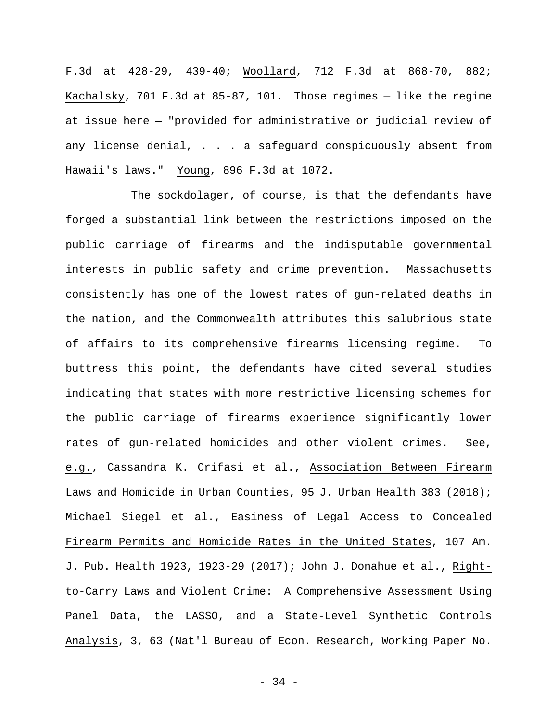F.3d at 428-29, 439-40; Woollard, 712 F.3d at 868-70, 882; Kachalsky, 701 F.3d at 85-87, 101. Those regimes — like the regime at issue here — "provided for administrative or judicial review of any license denial, . . . a safeguard conspicuously absent from Hawaii's laws." Young, 896 F.3d at 1072.

The sockdolager, of course, is that the defendants have forged a substantial link between the restrictions imposed on the public carriage of firearms and the indisputable governmental interests in public safety and crime prevention. Massachusetts consistently has one of the lowest rates of gun-related deaths in the nation, and the Commonwealth attributes this salubrious state of affairs to its comprehensive firearms licensing regime. To buttress this point, the defendants have cited several studies indicating that states with more restrictive licensing schemes for the public carriage of firearms experience significantly lower rates of gun-related homicides and other violent crimes. See, e.g., Cassandra K. Crifasi et al., Association Between Firearm Laws and Homicide in Urban Counties, 95 J. Urban Health 383 (2018); Michael Siegel et al., Easiness of Legal Access to Concealed Firearm Permits and Homicide Rates in the United States, 107 Am. J. Pub. Health 1923, 1923-29 (2017); John J. Donahue et al., Rightto-Carry Laws and Violent Crime: A Comprehensive Assessment Using Panel Data, the LASSO, and a State-Level Synthetic Controls Analysis, 3, 63 (Nat'l Bureau of Econ. Research, Working Paper No.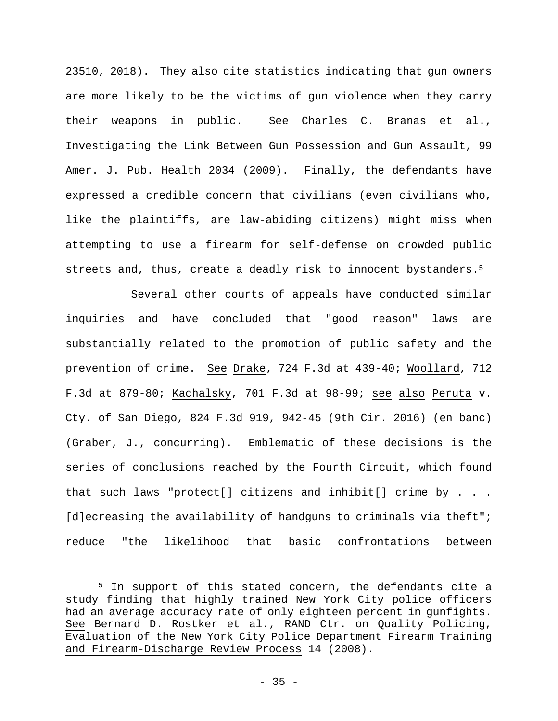23510, 2018). They also cite statistics indicating that gun owners are more likely to be the victims of gun violence when they carry their weapons in public. See Charles C. Branas et al., Investigating the Link Between Gun Possession and Gun Assault, 99 Amer. J. Pub. Health 2034 (2009). Finally, the defendants have expressed a credible concern that civilians (even civilians who, like the plaintiffs, are law-abiding citizens) might miss when attempting to use a firearm for self-defense on crowded public streets and, thus, create a deadly risk to innocent bystanders.5

Several other courts of appeals have conducted similar inquiries and have concluded that "good reason" laws are substantially related to the promotion of public safety and the prevention of crime. See Drake, 724 F.3d at 439-40; Woollard, 712 F.3d at 879-80; Kachalsky, 701 F.3d at 98-99; see also Peruta v. Cty. of San Diego, 824 F.3d 919, 942-45 (9th Cir. 2016) (en banc) (Graber, J., concurring). Emblematic of these decisions is the series of conclusions reached by the Fourth Circuit, which found that such laws "protect[] citizens and inhibit[] crime by . . . [d]ecreasing the availability of handguns to criminals via theft"; reduce "the likelihood that basic confrontations between

 $\overline{a}$ 

<sup>5</sup> In support of this stated concern, the defendants cite a study finding that highly trained New York City police officers had an average accuracy rate of only eighteen percent in gunfights. See Bernard D. Rostker et al., RAND Ctr. on Quality Policing, Evaluation of the New York City Police Department Firearm Training and Firearm-Discharge Review Process 14 (2008).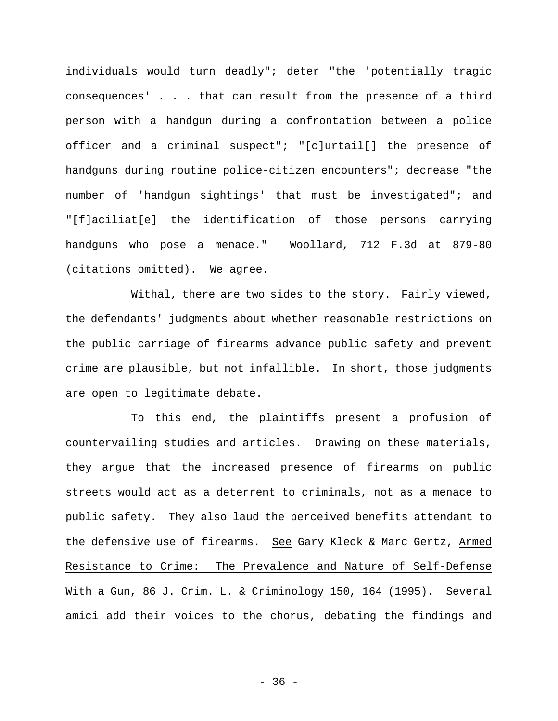individuals would turn deadly"; deter "the 'potentially tragic consequences' . . . that can result from the presence of a third person with a handgun during a confrontation between a police officer and a criminal suspect"; "[c]urtail[] the presence of handguns during routine police-citizen encounters"; decrease "the number of 'handgun sightings' that must be investigated"; and "[f]aciliat[e] the identification of those persons carrying handguns who pose a menace." Woollard, 712 F.3d at 879-80 (citations omitted). We agree.

Withal, there are two sides to the story. Fairly viewed, the defendants' judgments about whether reasonable restrictions on the public carriage of firearms advance public safety and prevent crime are plausible, but not infallible. In short, those judgments are open to legitimate debate.

To this end, the plaintiffs present a profusion of countervailing studies and articles. Drawing on these materials, they argue that the increased presence of firearms on public streets would act as a deterrent to criminals, not as a menace to public safety. They also laud the perceived benefits attendant to the defensive use of firearms. See Gary Kleck & Marc Gertz, Armed Resistance to Crime: The Prevalence and Nature of Self-Defense With a Gun, 86 J. Crim. L. & Criminology 150, 164 (1995). Several amici add their voices to the chorus, debating the findings and

- 36 -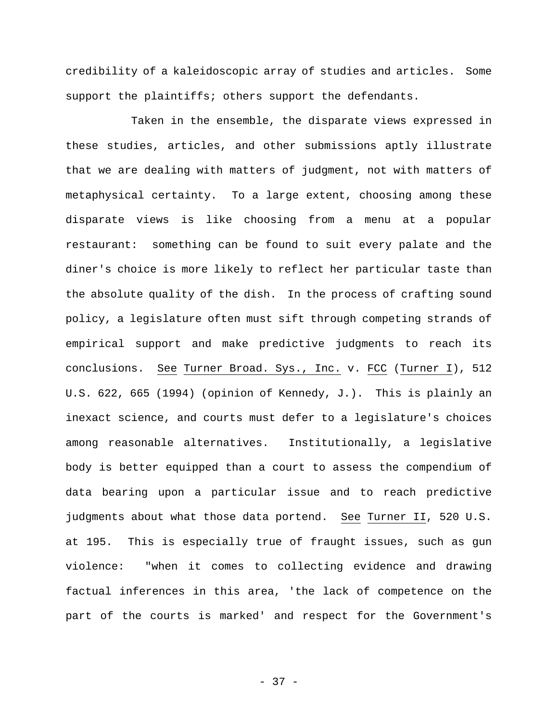credibility of a kaleidoscopic array of studies and articles. Some support the plaintiffs; others support the defendants.

Taken in the ensemble, the disparate views expressed in these studies, articles, and other submissions aptly illustrate that we are dealing with matters of judgment, not with matters of metaphysical certainty. To a large extent, choosing among these disparate views is like choosing from a menu at a popular restaurant: something can be found to suit every palate and the diner's choice is more likely to reflect her particular taste than the absolute quality of the dish. In the process of crafting sound policy, a legislature often must sift through competing strands of empirical support and make predictive judgments to reach its conclusions. See Turner Broad. Sys., Inc. v. FCC (Turner I), 512 U.S. 622, 665 (1994) (opinion of Kennedy, J.). This is plainly an inexact science, and courts must defer to a legislature's choices among reasonable alternatives. Institutionally, a legislative body is better equipped than a court to assess the compendium of data bearing upon a particular issue and to reach predictive judgments about what those data portend. See Turner II, 520 U.S. at 195. This is especially true of fraught issues, such as gun violence: "when it comes to collecting evidence and drawing factual inferences in this area, 'the lack of competence on the part of the courts is marked' and respect for the Government's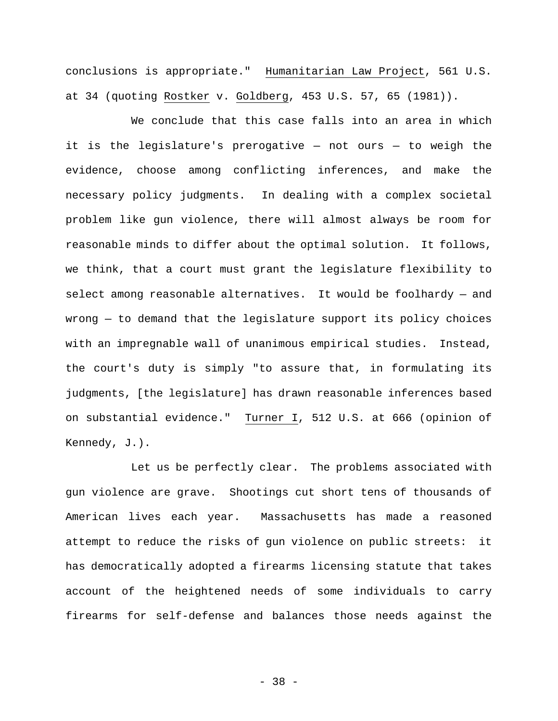conclusions is appropriate." Humanitarian Law Project, 561 U.S. at 34 (quoting Rostker v. Goldberg, 453 U.S. 57, 65 (1981)).

We conclude that this case falls into an area in which it is the legislature's prerogative — not ours — to weigh the evidence, choose among conflicting inferences, and make the necessary policy judgments. In dealing with a complex societal problem like gun violence, there will almost always be room for reasonable minds to differ about the optimal solution. It follows, we think, that a court must grant the legislature flexibility to select among reasonable alternatives. It would be foolhardy — and wrong — to demand that the legislature support its policy choices with an impregnable wall of unanimous empirical studies. Instead, the court's duty is simply "to assure that, in formulating its judgments, [the legislature] has drawn reasonable inferences based on substantial evidence." Turner I, 512 U.S. at 666 (opinion of Kennedy, J.).

Let us be perfectly clear. The problems associated with gun violence are grave. Shootings cut short tens of thousands of American lives each year. Massachusetts has made a reasoned attempt to reduce the risks of gun violence on public streets: it has democratically adopted a firearms licensing statute that takes account of the heightened needs of some individuals to carry firearms for self-defense and balances those needs against the

- 38 -